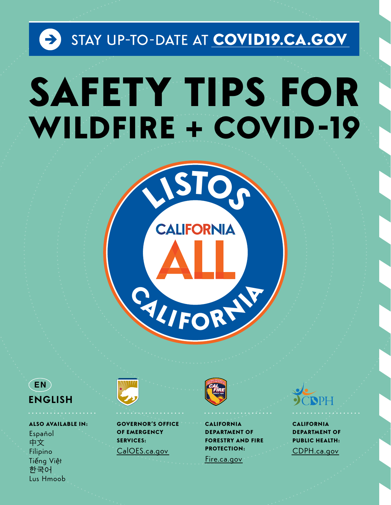# STAY UP-TO-DATE AT COVID19.CA.GOV SAFETY TIPS FOR **WILDFIRE + COVID-19**



### $($  EN  $)$ **ENGLISH**

**ALSO AVAILABLE IN:** Español 中文 Filipino Tiếng Việt 한국어 Lus Hmoob



**GOVERNOR'S OFFICE** OF EMERGENCY **SERVICES:** CalOES.ca.gov

Fire.ca.gov

**CALIFORNIA** 

**PROTECTION:** 

**DEPARTMENT OF** 

**FORESTRY AND FIRE** 



**CALIFORNIA DEPARTMENT OF PUBLIC HEALTH:** CDPH.ca.gov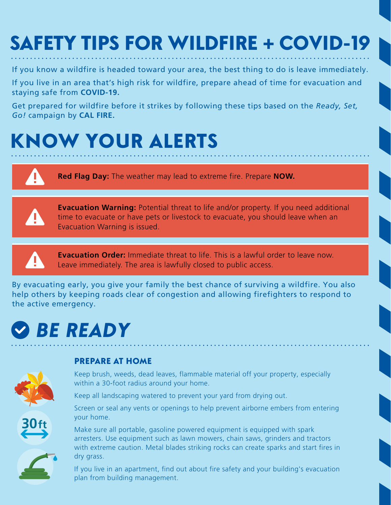# SAFETY TIPS FOR WILDFIRE + COVID-19

If you know a wildfire is headed toward your area, the best thing to do is leave immediately.

If you live in an area that's high risk for wildfire, prepare ahead of time for evacuation and staying safe from **COVID-19.**

Get prepared for wildfire before it strikes by following these tips based on the *Ready, Set, Go!* campaign by **CAL FIRE.**

# KNOW YOUR ALERTS

 $\mathbf \Phi$ 

**Red Flag Day:** The weather may lead to extreme fire. Prepare **NOW.**



**Evacuation Warning:** Potential threat to life and/or property. If you need additional time to evacuate or have pets or livestock to evacuate, you should leave when an Evacuation Warning is issued.



**Evacuation Order:** Immediate threat to life. This is a lawful order to leave now. Leave immediately. The area is lawfully closed to public access.

By evacuating early, you give your family the best chance of surviving a wildfire. You also help others by keeping roads clear of congestion and allowing firefighters to respond to the active emergency.

# *BE READY*



**30ft**

### PREPARE AT HOME

Keep brush, weeds, dead leaves, flammable material off your property, especially within a 30-foot radius around your home.

Keep all landscaping watered to prevent your yard from drying out.

Screen or seal any vents or openings to help prevent airborne embers from entering your home.

Make sure all portable, gasoline powered equipment is equipped with spark arresters. Use equipment such as lawn mowers, chain saws, grinders and tractors with extreme caution. Metal blades striking rocks can create sparks and start fires in dry grass.

If you live in an apartment, find out about fire safety and your building's evacuation plan from building management.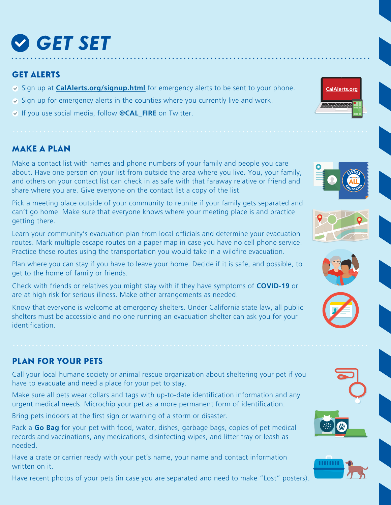# *GET SET*

#### GET ALERTS

- $\vee$  Sign up at **[CalAlerts.org/signup.html](http://calalerts.org/signup.html)** for emergency alerts to be sent to your phone.
- $\overline{\bullet}$  Sign up for emergency alerts in the counties where you currently live and work.
- If you use social media, follow **@CAL\_FIRE** on Twitter.

### MAKE A PLAN

Make a contact list with names and phone numbers of your family and people you care about. Have one person on your list from outside the area where you live. You, your family, and others on your contact list can check in as safe with that faraway relative or friend and share where you are. Give everyone on the contact list a copy of the list.

Pick a meeting place outside of your community to reunite if your family gets separated and can't go home. Make sure that everyone knows where your meeting place is and practice getting there.

Learn your community's evacuation plan from local officials and determine your evacuation routes. Mark multiple escape routes on a paper map in case you have no cell phone service. Practice these routes using the transportation you would take in a wildfire evacuation.

Plan where you can stay if you have to leave your home. Decide if it is safe, and possible, to get to the home of family or friends.

Check with friends or relatives you might stay with if they have symptoms of **COVID-19** or are at high risk for serious illness. Make other arrangements as needed.

Know that everyone is welcome at emergency shelters. Under California state law, all public shelters must be accessible and no one running an evacuation shelter can ask you for your identification.

### PLAN FOR YOUR PETS

Call your local humane society or animal rescue organization about sheltering your pet if you have to evacuate and need a place for your pet to stay.

Make sure all pets wear collars and tags with up-to-date identification information and any urgent medical needs. Microchip your pet as a more permanent form of identification.

Bring pets indoors at the first sign or warning of a storm or disaster.

Pack a **Go Bag** for your pet with food, water, dishes, garbage bags, copies of pet medical records and vaccinations, any medications, disinfecting wipes, and litter tray or leash as needed.

Have a crate or carrier ready with your pet's name, your name and contact information written on it.

Have recent photos of your pets (in case you are separated and need to make "Lost" posters).











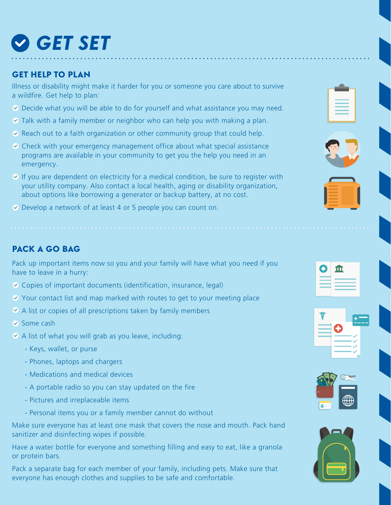# *GET SET*

#### GET HELP TO PLAN

Illness or disability might make it harder for you or someone you care about to survive a wildfire. Get help to plan:

- Decide what you will be able to do for yourself and what assistance you may need.
- Talk with a family member or neighbor who can help you with making a plan.
- $\vee$  Reach out to a faith organization or other community group that could help.
- Check with your emergency management office about what special assistance programs are available in your community to get you the help you need in an emergency.
- $\triangledown$  If you are dependent on electricity for a medical condition, be sure to register with your utility company. Also contact a local health, aging or disability organization, about options like borrowing a generator or backup battery, at no cost.
- Develop a network of at least 4 or 5 people you can count on.

### PACK A GO BAG

Pack up important items now so you and your family will have what you need if you have to leave in a hurry:

- $\vee$  Copies of important documents (identification, insurance, legal)
- ◆ Your contact list and map marked with routes to get to your meeting place
- $\vee$  A list or copies of all prescriptions taken by family members
- $\triangledown$  Some cash
- $\triangledown$  A list of what you will grab as you leave, including:
	- Keys, wallet, or purse
	- Phones, laptops and chargers
	- Medications and medical devices
	- A portable radio so you can stay updated on the fire
	- Pictures and irreplaceable items
	- Personal items you or a family member cannot do without

Make sure everyone has at least one mask that covers the nose and mouth. Pack hand sanitizer and disinfecting wipes if possible.

Have a water bottle for everyone and something filling and easy to eat, like a granola or protein bars.

Pack a separate bag for each member of your family, including pets. Make sure that everyone has enough clothes and supplies to be safe and comfortable.





| т |
|---|
|   |
|   |
|   |





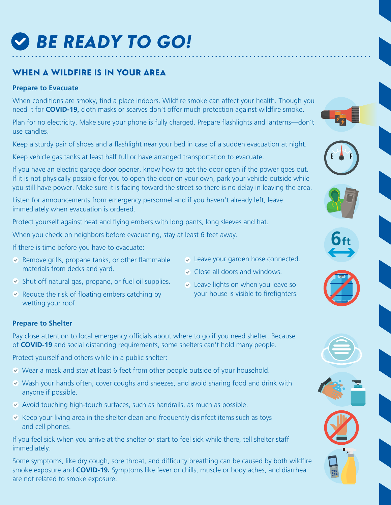# *BE READY TO GO!*

### WHEN A WILDFIRE IS IN YOUR AREA

#### **Prepare to Evacuate**

When conditions are smoky, find a place indoors. Wildfire smoke can affect your health. Though you need it for **COVID-19,** cloth masks or scarves don't offer much protection against wildfire smoke.

Plan for no electricity. Make sure your phone is fully charged. Prepare flashlights and lanterns—don't use candles.

Keep a sturdy pair of shoes and a flashlight near your bed in case of a sudden evacuation at night.

Keep vehicle gas tanks at least half full or have arranged transportation to evacuate.

If you have an electric garage door opener, know how to get the door open if the power goes out. If it is not physically possible for you to open the door on your own, park your vehicle outside while you still have power. Make sure it is facing toward the street so there is no delay in leaving the area.

Listen for announcements from emergency personnel and if you haven't already left, leave immediately when evacuation is ordered.

Protect yourself against heat and flying embers with long pants, long sleeves and hat.

When you check on neighbors before evacuating, stay at least 6 feet away.

If there is time before you have to evacuate:

- $\vee$  Remove grills, propane tanks, or other flammable materials from decks and yard.
- Leave your garden hose connected.

**6ft**

- Close all doors and windows.
- $\triangleright$  Shut off natural gas, propane, or fuel oil supplies.
- $\vee$  Reduce the risk of floating embers catching by wetting your roof.
- Leave lights on when you leave so your house is visible to firefighters.

#### **Prepare to Shelter**

Pay close attention to local emergency officials about where to go if you need shelter. Because of **COVID-19** and social distancing requirements, some shelters can't hold many people.

Protect yourself and others while in a public shelter:

- Wear a mask and stay at least 6 feet from other people outside of your household.
- $\vee$  Wash your hands often, cover coughs and sneezes, and avoid sharing food and drink with anyone if possible.
- $\triangledown$  Avoid touching high-touch surfaces, such as handrails, as much as possible.
- $\triangledown$  Keep your living area in the shelter clean and frequently disinfect items such as toys and cell phones.

If you feel sick when you arrive at the shelter or start to feel sick while there, tell shelter staff immediately.

Some symptoms, like dry cough, sore throat, and difficulty breathing can be caused by both wildfire smoke exposure and **COVID-19.** Symptoms like fever or chills, muscle or body aches, and diarrhea are not related to smoke exposure.